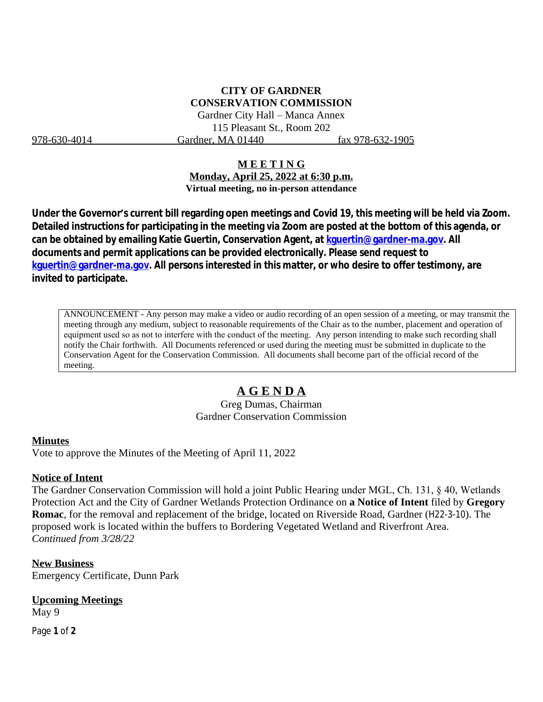## **CITY OF GARDNER CONSERVATION COMMISSION**

Gardner City Hall – Manca Annex 115 Pleasant St., Room 202 978-630-4014 Gardner, MA 01440 fax 978-632-1905

### **M E E T I N G**

**Monday, April 25, 2022 at 6:30 p.m. Virtual meeting, no in-person attendance**

**Under the Governor's current bill regarding open meetings and Covid 19, this meeting will be held via Zoom. Detailed instructions for participating in the meeting via Zoom are posted at the bottom of this agenda, or can be obtained by emailing Katie Guertin, Conservation Agent, at [kguertin@gardner-ma.gov. All](mailto:kguertin@gardner-ma.gov)  [documents and permit applications can be provided electronically. Please send request to](mailto:kguertin@gardner-ma.gov)  [kguertin@gardner-ma.gov.](mailto:kguertin@gardner-ma.gov) All persons interested in this matter, or who desire to offer testimony, are invited to participate.**

ANNOUNCEMENT - Any person may make a video or audio recording of an open session of a meeting, or may transmit the meeting through any medium, subject to reasonable requirements of the Chair as to the number, placement and operation of equipment used so as not to interfere with the conduct of the meeting. Any person intending to make such recording shall notify the Chair forthwith. All Documents referenced or used during the meeting must be submitted in duplicate to the Conservation Agent for the Conservation Commission. All documents shall become part of the official record of the meeting.

# **A G E N D A**

Greg Dumas, Chairman Gardner Conservation Commission

#### **Minutes**

Vote to approve the Minutes of the Meeting of April 11, 2022

#### **Notice of Intent**

The Gardner Conservation Commission will hold a joint Public Hearing under MGL, Ch. 131, § 40, Wetlands Protection Act and the City of Gardner Wetlands Protection Ordinance on **a Notice of Intent** filed by **Gregory Romac**, for the removal and replacement of the bridge, located on Riverside Road, Gardner (H22-3-10). The proposed work is located within the buffers to Bordering Vegetated Wetland and Riverfront Area. *Continued from 3/28/22*

**New Business** Emergency Certificate, Dunn Park

#### **Upcoming Meetings**

May 9

Page **1** of **2**